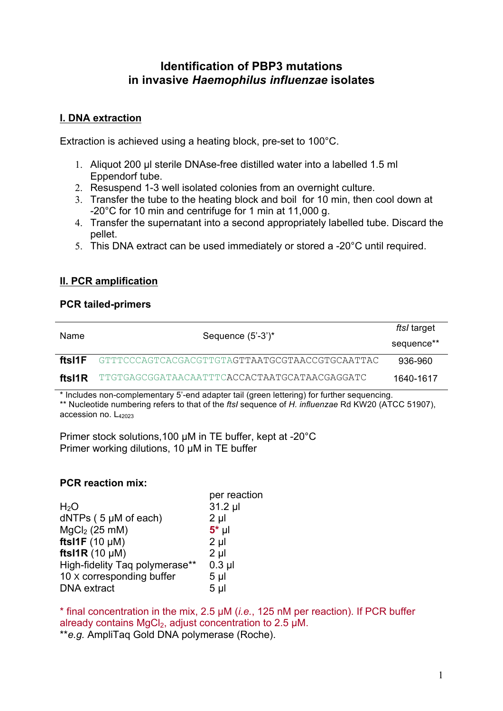# **Identification of PBP3 mutations in invasive** *Haemophilus influenzae* **isolates**

## **I. DNA extraction**

Extraction is achieved using a heating block, pre-set to 100°C.

- 1. Aliquot 200 µl sterile DNAse-free distilled water into a labelled 1.5 ml Eppendorf tube.
- 2. Resuspend 1-3 well isolated colonies from an overnight culture.
- 3. Transfer the tube to the heating block and boil for 10 min, then cool down at -20°C for 10 min and centrifuge for 1 min at 11,000 g.
- 4. Transfer the supernatant into a second appropriately labelled tube. Discard the pellet.
- 5. This DNA extract can be used immediately or stored a -20°C until required.

## **II. PCR amplification**

#### **PCR tailed-primers**

| Name   | Sequence $(5'-3')^*$                                 | ftsl target |
|--------|------------------------------------------------------|-------------|
|        |                                                      | sequence**  |
| ftsI1F | GTTTCCCAGTCACGACGTTGTAGTTAATGCGTAACCGTGCAATTAC       | 936-960     |
| ftsI1R | TTGTGAGCGGATAACAATTTC <b>ACCACTAATGCATAACGAGGATC</b> | 1640-1617   |

\* Includes non-complementary 5'-end adapter tail (green lettering) for further sequencing. \*\* Nucleotide numbering refers to that of the *ftsI* sequence of *H. influenzae* Rd KW20 (ATCC 51907), accession no.  $L_{42023}$ 

Primer stock solutions,100 µM in TE buffer, kept at -20°C Primer working dilutions, 10 µM in TE buffer

## **PCR reaction mix:**

|                                | per reaction   |
|--------------------------------|----------------|
| H <sub>2</sub> O               | 31.2 µl        |
| $dNTPs$ (5 $\mu$ M of each)    | $2 \mu$        |
| $MgCl2$ (25 mM)                | $5^*$ µl       |
| ftsI1F $(10 \mu M)$            | $2 \mu$        |
| fts $1R(10 \mu M)$             | $2 \mu$        |
| High-fidelity Taq polymerase** | $0.3$ $\mu$    |
| 10 x corresponding buffer      | 5 <sub>µ</sub> |
| <b>DNA</b> extract             | 5 <sub>µ</sub> |
|                                |                |

\* final concentration in the mix, 2.5 µM (*i.e.*, 125 nM per reaction). If PCR buffer already contains MgCl<sub>2</sub>, adjust concentration to  $2.5 \mu M$ . \*\**e.g.* AmpliTaq Gold DNA polymerase (Roche).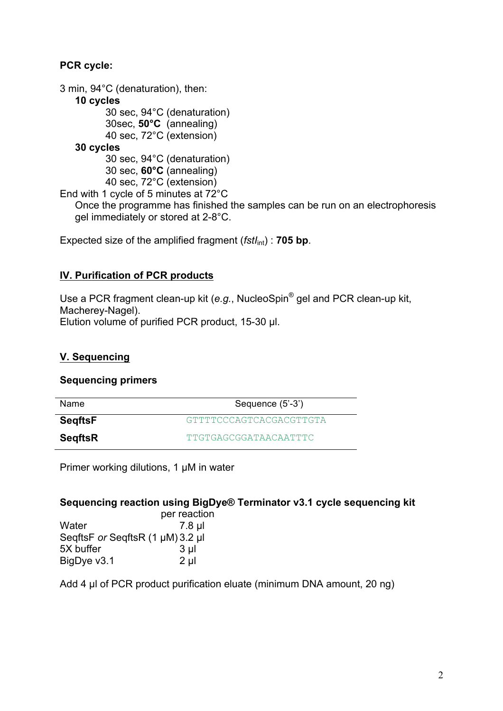## **PCR cycle:**

3 min, 94°C (denaturation), then: **10 cycles** 30 sec, 94°C (denaturation) 30sec, **50°C** (annealing) 40 sec, 72°C (extension) **30 cycles**  30 sec, 94°C (denaturation) 30 sec, **60°C** (annealing) 40 sec, 72°C (extension) End with 1 cycle of 5 minutes at 72°C Once the programme has finished the samples can be run on an electrophoresis gel immediately or stored at 2-8°C.

Expected size of the amplified fragment (*fstI*<sub>int</sub>) : **705 bp**.

# **IV. Purification of PCR products**

Use a PCR fragment clean-up kit (*e.g.*, NucleoSpin® gel and PCR clean-up kit, Macherey-Nagel). Elution volume of purified PCR product, 15-30 µl.

## **V. Sequencing**

## **Sequencing primers**

| <b>Name</b>    | Sequence (5'-3')                |
|----------------|---------------------------------|
| SeqftsF        | <i>C</i> TTTTCCCACTCACCACCTTCTA |
| <b>SegftsR</b> | <b>TTGTGAGCGGATAACAATTTC</b>    |

Primer working dilutions, 1 µM in water

## **Sequencing reaction using BigDye® Terminator v3.1 cycle sequencing kit**

|                                  | per reaction   |
|----------------------------------|----------------|
| Water                            | 7.8 µl         |
| SeqftsF or SeqftsR (1 µM) 3.2 µl |                |
| 5X buffer                        | 3 <sub>µ</sub> |
| BigDye v3.1                      | $2 \mu$        |

Add 4 µl of PCR product purification eluate (minimum DNA amount, 20 ng)